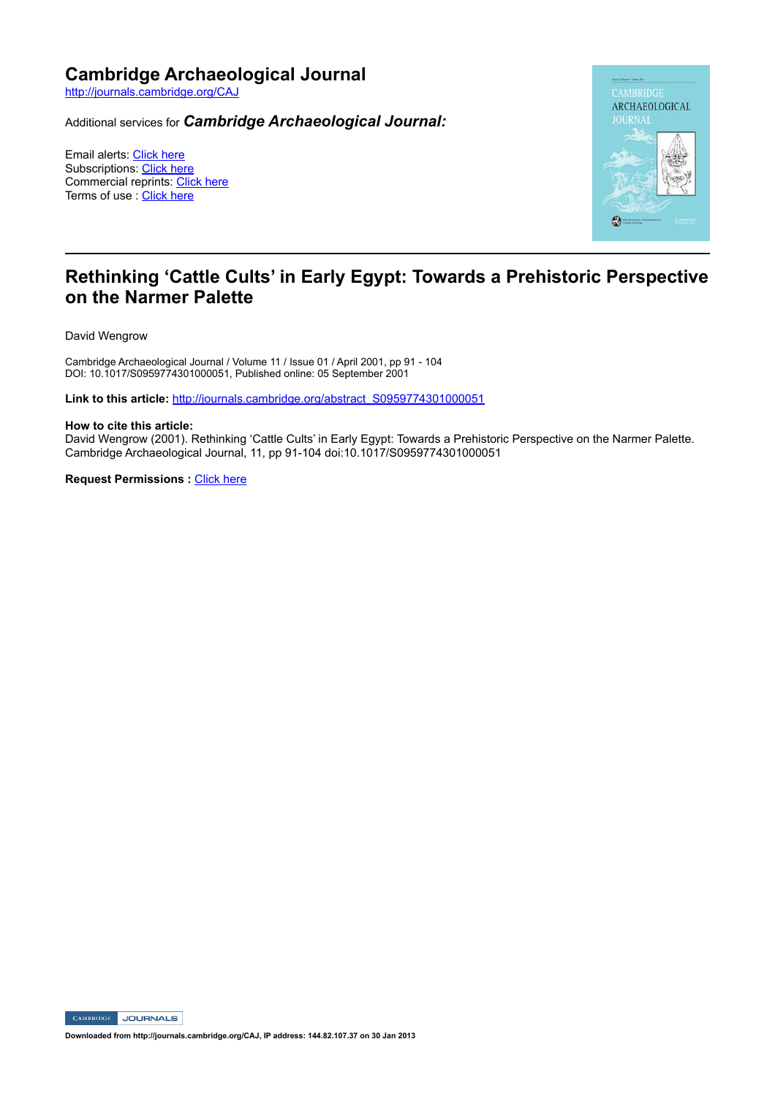**Cambridge Archaeological Journal** http://journals.cambridge.org/CAJ

Additional services for *Cambridge Archaeological Journal:*

Email alerts: Click here Subscriptions: Click here Commercial reprints: Click here Terms of use : Click here



## **Rethinking 'Cattle Cults' in Early Egypt: Towards a Prehistoric Perspective on the Narmer Palette**

David Wengrow

Cambridge Archaeological Journal / Volume 11 / Issue 01 / April 2001, pp 91 - 104 DOI: 10.1017/S0959774301000051, Published online: 05 September 2001

Link to this article: http://journals.cambridge.org/abstract\_S0959774301000051

#### **How to cite this article:**

David Wengrow (2001). Rethinking 'Cattle Cults' in Early Egypt: Towards a Prehistoric Perspective on the Narmer Palette. Cambridge Archaeological Journal, 11, pp 91-104 doi:10.1017/S0959774301000051

**Request Permissions : Click here** 

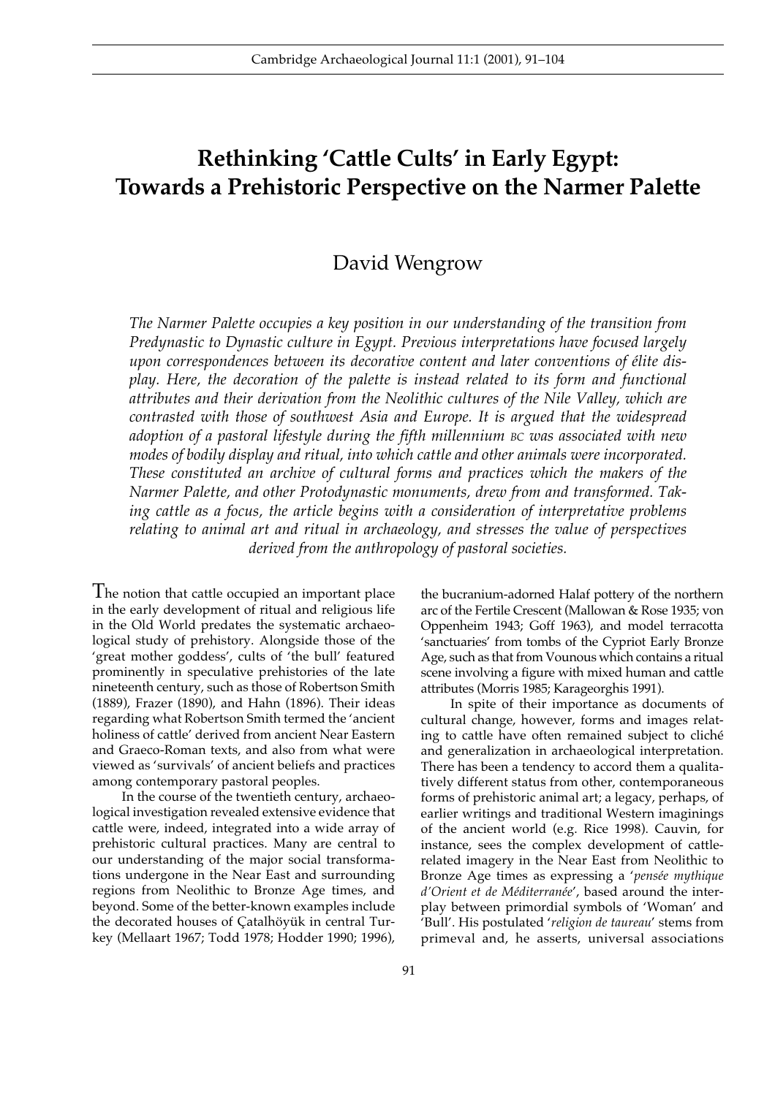# **Rethinking 'Cattle Cults' in Early Egypt: Towards a Prehistoric Perspective on the Narmer Palette**

## David Wengrow

*The Narmer Palette occupies a key position in our understanding of the transition from Predynastic to Dynastic culture in Egypt. Previous interpretations have focused largely upon correspondences between its decorative content and later conventions of élite display. Here, the decoration of the palette is instead related to its form and functional attributes and their derivation from the Neolithic cultures of the Nile Valley, which are contrasted with those of southwest Asia and Europe. It is argued that the widespread adoption of a pastoral lifestyle during the fifth millennium BC was associated with new modes of bodily display and ritual, into which cattle and other animals were incorporated. These constituted an archive of cultural forms and practices which the makers of the Narmer Palette, and other Protodynastic monuments, drew from and transformed. Taking cattle as a focus, the article begins with a consideration of interpretative problems relating to animal art and ritual in archaeology, and stresses the value of perspectives derived from the anthropology of pastoral societies.*

The notion that cattle occupied an important place in the early development of ritual and religious life in the Old World predates the systematic archaeological study of prehistory. Alongside those of the 'great mother goddess', cults of 'the bull' featured prominently in speculative prehistories of the late nineteenth century, such as those of Robertson Smith (1889), Frazer (1890), and Hahn (1896). Their ideas regarding what Robertson Smith termed the 'ancient holiness of cattle' derived from ancient Near Eastern and Graeco-Roman texts, and also from what were viewed as 'survivals' of ancient beliefs and practices among contemporary pastoral peoples.

In the course of the twentieth century, archaeological investigation revealed extensive evidence that cattle were, indeed, integrated into a wide array of prehistoric cultural practices. Many are central to our understanding of the major social transformations undergone in the Near East and surrounding regions from Neolithic to Bronze Age times, and beyond. Some of the better-known examples include the decorated houses of Çatalhöyük in central Turkey (Mellaart 1967; Todd 1978; Hodder 1990; 1996),

the bucranium-adorned Halaf pottery of the northern arc of the Fertile Crescent (Mallowan & Rose 1935; von Oppenheim 1943; Goff 1963), and model terracotta 'sanctuaries' from tombs of the Cypriot Early Bronze Age, such as that from Vounous which contains a ritual scene involving a figure with mixed human and cattle attributes (Morris 1985; Karageorghis 1991).

In spite of their importance as documents of cultural change, however, forms and images relating to cattle have often remained subject to cliché and generalization in archaeological interpretation. There has been a tendency to accord them a qualitatively different status from other, contemporaneous forms of prehistoric animal art; a legacy, perhaps, of earlier writings and traditional Western imaginings of the ancient world (e.g. Rice 1998). Cauvin, for instance, sees the complex development of cattlerelated imagery in the Near East from Neolithic to Bronze Age times as expressing a '*pensée mythique d'Orient et de Méditerranée*', based around the interplay between primordial symbols of 'Woman' and 'Bull'. His postulated '*religion de taureau*' stems from primeval and, he asserts, universal associations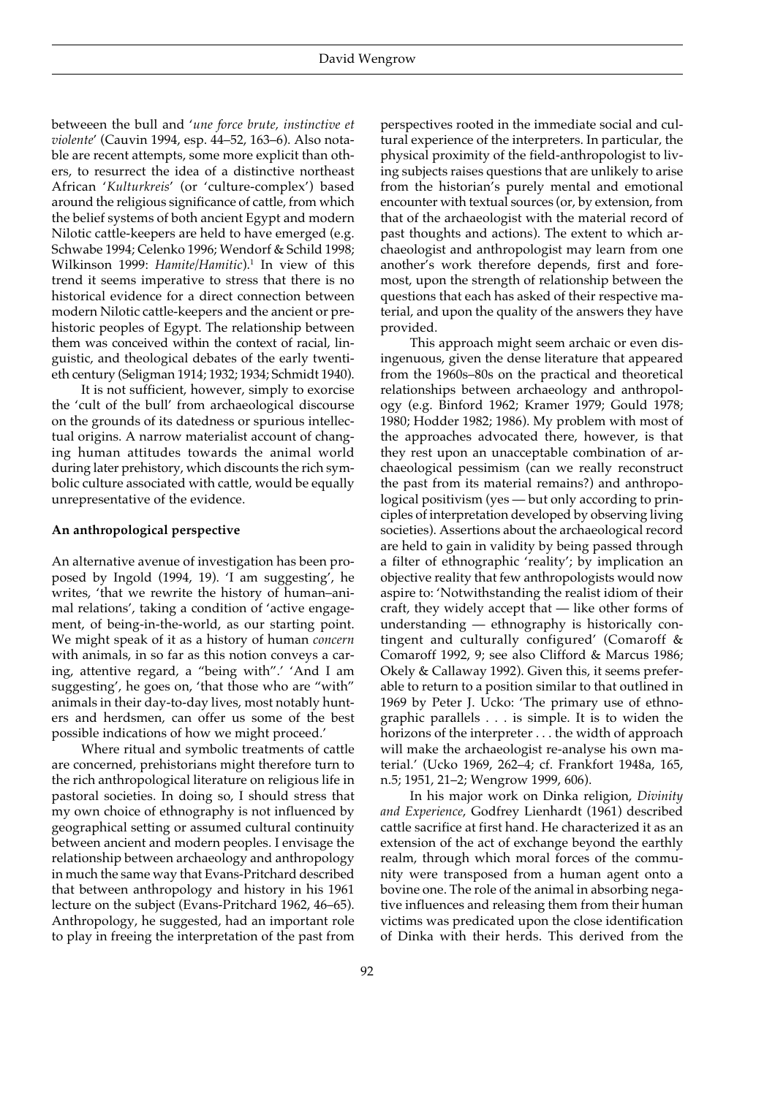betweeen the bull and '*une force brute, instinctive et violente*' (Cauvin 1994, esp. 44–52, 163–6). Also notable are recent attempts, some more explicit than others, to resurrect the idea of a distinctive northeast African '*Kulturkreis*' (or 'culture-complex') based around the religious significance of cattle, from which the belief systems of both ancient Egypt and modern Nilotic cattle-keepers are held to have emerged (e.g. Schwabe 1994; Celenko 1996; Wendorf & Schild 1998; Wilkinson 1999: *Hamite/Hamitic*).<sup>1</sup> In view of this trend it seems imperative to stress that there is no historical evidence for a direct connection between modern Nilotic cattle-keepers and the ancient or prehistoric peoples of Egypt. The relationship between them was conceived within the context of racial, linguistic, and theological debates of the early twentieth century (Seligman 1914; 1932; 1934; Schmidt 1940).

It is not sufficient, however, simply to exorcise the 'cult of the bull' from archaeological discourse on the grounds of its datedness or spurious intellectual origins. A narrow materialist account of changing human attitudes towards the animal world during later prehistory, which discounts the rich symbolic culture associated with cattle, would be equally unrepresentative of the evidence.

#### **An anthropological perspective**

An alternative avenue of investigation has been proposed by Ingold (1994, 19). 'I am suggesting', he writes, 'that we rewrite the history of human–animal relations', taking a condition of 'active engagement, of being-in-the-world, as our starting point. We might speak of it as a history of human *concern* with animals, in so far as this notion conveys a caring, attentive regard, a "being with".' 'And I am suggesting', he goes on, 'that those who are "with" animals in their day-to-day lives, most notably hunters and herdsmen, can offer us some of the best possible indications of how we might proceed.'

Where ritual and symbolic treatments of cattle are concerned, prehistorians might therefore turn to the rich anthropological literature on religious life in pastoral societies. In doing so, I should stress that my own choice of ethnography is not influenced by geographical setting or assumed cultural continuity between ancient and modern peoples. I envisage the relationship between archaeology and anthropology in much the same way that Evans-Pritchard described that between anthropology and history in his 1961 lecture on the subject (Evans-Pritchard 1962, 46–65). Anthropology, he suggested, had an important role to play in freeing the interpretation of the past from

perspectives rooted in the immediate social and cultural experience of the interpreters. In particular, the physical proximity of the field-anthropologist to living subjects raises questions that are unlikely to arise from the historian's purely mental and emotional encounter with textual sources (or, by extension, from that of the archaeologist with the material record of past thoughts and actions). The extent to which archaeologist and anthropologist may learn from one another's work therefore depends, first and foremost, upon the strength of relationship between the questions that each has asked of their respective material, and upon the quality of the answers they have provided.

This approach might seem archaic or even disingenuous, given the dense literature that appeared from the 1960s–80s on the practical and theoretical relationships between archaeology and anthropology (e.g. Binford 1962; Kramer 1979; Gould 1978; 1980; Hodder 1982; 1986). My problem with most of the approaches advocated there, however, is that they rest upon an unacceptable combination of archaeological pessimism (can we really reconstruct the past from its material remains?) and anthropological positivism (yes — but only according to principles of interpretation developed by observing living societies). Assertions about the archaeological record are held to gain in validity by being passed through a filter of ethnographic 'reality'; by implication an objective reality that few anthropologists would now aspire to: 'Notwithstanding the realist idiom of their craft, they widely accept that — like other forms of understanding — ethnography is historically contingent and culturally configured' (Comaroff & Comaroff 1992, 9; see also Clifford & Marcus 1986; Okely & Callaway 1992). Given this, it seems preferable to return to a position similar to that outlined in 1969 by Peter J. Ucko: 'The primary use of ethnographic parallels . . . is simple. It is to widen the horizons of the interpreter . . . the width of approach will make the archaeologist re-analyse his own material.' (Ucko 1969, 262–4; cf. Frankfort 1948a, 165, n.5; 1951, 21–2; Wengrow 1999, 606).

In his major work on Dinka religion, *Divinity and Experience*, Godfrey Lienhardt (1961) described cattle sacrifice at first hand. He characterized it as an extension of the act of exchange beyond the earthly realm, through which moral forces of the community were transposed from a human agent onto a bovine one. The role of the animal in absorbing negative influences and releasing them from their human victims was predicated upon the close identification of Dinka with their herds. This derived from the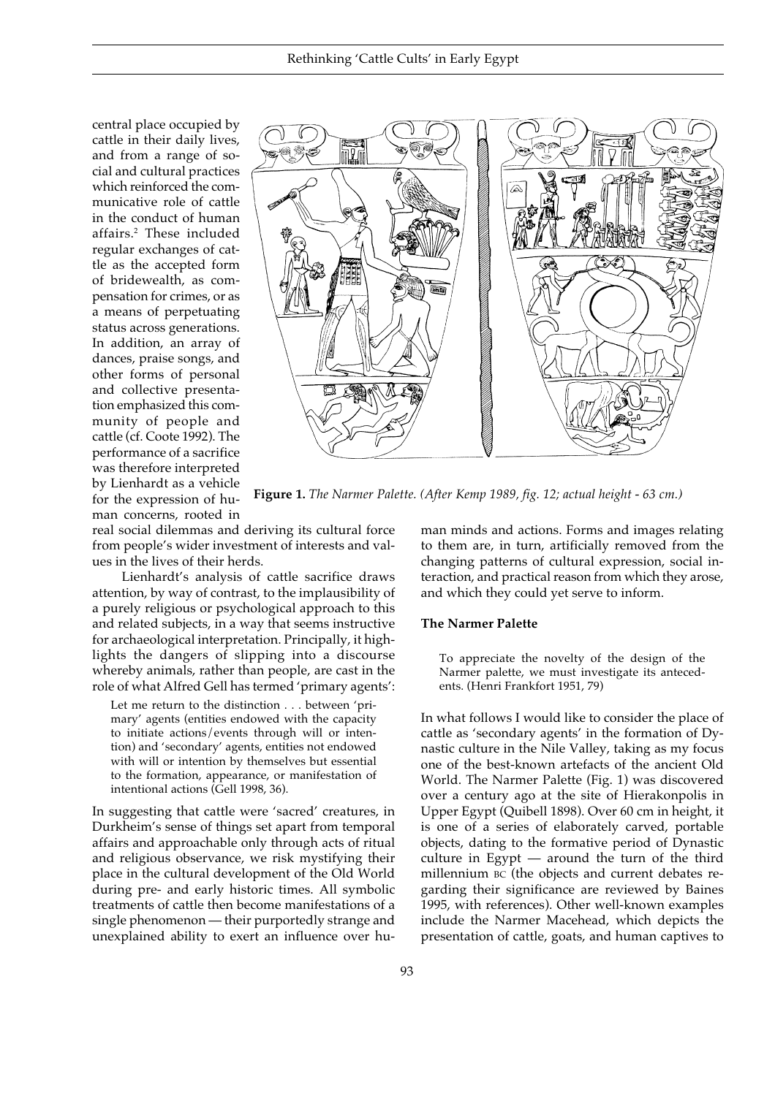central place occupied by cattle in their daily lives, and from a range of social and cultural practices which reinforced the communicative role of cattle in the conduct of human affairs.2 These included regular exchanges of cattle as the accepted form of bridewealth, as compensation for crimes, or as a means of perpetuating status across generations. In addition, an array of dances, praise songs, and other forms of personal and collective presentation emphasized this community of people and cattle (cf. Coote 1992). The performance of a sacrifice was therefore interpreted by Lienhardt as a vehicle for the expression of human concerns, rooted in



**Figure 1.** *The Narmer Palette. (After Kemp 1989, fig. 12; actual height - 63 cm.)*

real social dilemmas and deriving its cultural force from people's wider investment of interests and values in the lives of their herds.

Lienhardt's analysis of cattle sacrifice draws attention, by way of contrast, to the implausibility of a purely religious or psychological approach to this and related subjects, in a way that seems instructive for archaeological interpretation. Principally, it highlights the dangers of slipping into a discourse whereby animals, rather than people, are cast in the role of what Alfred Gell has termed 'primary agents':

Let me return to the distinction . . . between 'primary' agents (entities endowed with the capacity to initiate actions/events through will or intention) and 'secondary' agents, entities not endowed with will or intention by themselves but essential to the formation, appearance, or manifestation of intentional actions (Gell 1998, 36).

In suggesting that cattle were 'sacred' creatures, in Durkheim's sense of things set apart from temporal affairs and approachable only through acts of ritual and religious observance, we risk mystifying their place in the cultural development of the Old World during pre- and early historic times. All symbolic treatments of cattle then become manifestations of a single phenomenon — their purportedly strange and unexplained ability to exert an influence over human minds and actions. Forms and images relating to them are, in turn, artificially removed from the changing patterns of cultural expression, social interaction, and practical reason from which they arose, and which they could yet serve to inform.

#### **The Narmer Palette**

To appreciate the novelty of the design of the Narmer palette, we must investigate its antecedents. (Henri Frankfort 1951, 79)

In what follows I would like to consider the place of cattle as 'secondary agents' in the formation of Dynastic culture in the Nile Valley, taking as my focus one of the best-known artefacts of the ancient Old World. The Narmer Palette (Fig. 1) was discovered over a century ago at the site of Hierakonpolis in Upper Egypt (Quibell 1898). Over 60 cm in height, it is one of a series of elaborately carved, portable objects, dating to the formative period of Dynastic culture in Egypt — around the turn of the third millennium BC (the objects and current debates regarding their significance are reviewed by Baines 1995, with references). Other well-known examples include the Narmer Macehead, which depicts the presentation of cattle, goats, and human captives to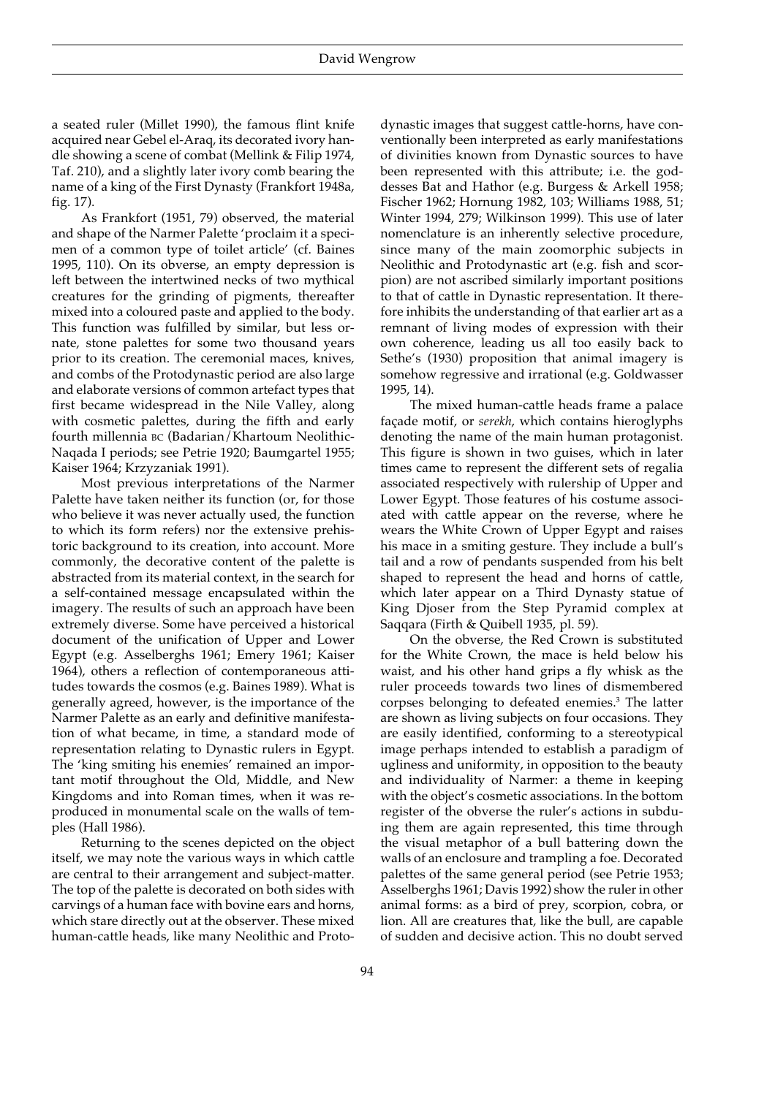a seated ruler (Millet 1990), the famous flint knife acquired near Gebel el-Araq, its decorated ivory handle showing a scene of combat (Mellink & Filip 1974, Taf. 210), and a slightly later ivory comb bearing the name of a king of the First Dynasty (Frankfort 1948a, fig. 17).

As Frankfort (1951, 79) observed, the material and shape of the Narmer Palette 'proclaim it a specimen of a common type of toilet article' (cf. Baines 1995, 110). On its obverse, an empty depression is left between the intertwined necks of two mythical creatures for the grinding of pigments, thereafter mixed into a coloured paste and applied to the body. This function was fulfilled by similar, but less ornate, stone palettes for some two thousand years prior to its creation. The ceremonial maces, knives, and combs of the Protodynastic period are also large and elaborate versions of common artefact types that first became widespread in the Nile Valley, along with cosmetic palettes, during the fifth and early fourth millennia BC (Badarian/Khartoum Neolithic-Naqada I periods; see Petrie 1920; Baumgartel 1955; Kaiser 1964; Krzyzaniak 1991).

Most previous interpretations of the Narmer Palette have taken neither its function (or, for those who believe it was never actually used, the function to which its form refers) nor the extensive prehistoric background to its creation, into account. More commonly, the decorative content of the palette is abstracted from its material context, in the search for a self-contained message encapsulated within the imagery. The results of such an approach have been extremely diverse. Some have perceived a historical document of the unification of Upper and Lower Egypt (e.g. Asselberghs 1961; Emery 1961; Kaiser 1964), others a reflection of contemporaneous attitudes towards the cosmos (e.g. Baines 1989). What is generally agreed, however, is the importance of the Narmer Palette as an early and definitive manifestation of what became, in time, a standard mode of representation relating to Dynastic rulers in Egypt. The 'king smiting his enemies' remained an important motif throughout the Old, Middle, and New Kingdoms and into Roman times, when it was reproduced in monumental scale on the walls of temples (Hall 1986).

Returning to the scenes depicted on the object itself, we may note the various ways in which cattle are central to their arrangement and subject-matter. The top of the palette is decorated on both sides with carvings of a human face with bovine ears and horns, which stare directly out at the observer. These mixed human-cattle heads, like many Neolithic and Protodynastic images that suggest cattle-horns, have conventionally been interpreted as early manifestations of divinities known from Dynastic sources to have been represented with this attribute; i.e. the goddesses Bat and Hathor (e.g. Burgess & Arkell 1958; Fischer 1962; Hornung 1982, 103; Williams 1988, 51; Winter 1994, 279; Wilkinson 1999). This use of later nomenclature is an inherently selective procedure, since many of the main zoomorphic subjects in Neolithic and Protodynastic art (e.g. fish and scorpion) are not ascribed similarly important positions to that of cattle in Dynastic representation. It therefore inhibits the understanding of that earlier art as a remnant of living modes of expression with their own coherence, leading us all too easily back to Sethe's (1930) proposition that animal imagery is somehow regressive and irrational (e.g. Goldwasser 1995, 14).

The mixed human-cattle heads frame a palace façade motif, or *serekh*, which contains hieroglyphs denoting the name of the main human protagonist. This figure is shown in two guises, which in later times came to represent the different sets of regalia associated respectively with rulership of Upper and Lower Egypt. Those features of his costume associated with cattle appear on the reverse, where he wears the White Crown of Upper Egypt and raises his mace in a smiting gesture. They include a bull's tail and a row of pendants suspended from his belt shaped to represent the head and horns of cattle, which later appear on a Third Dynasty statue of King Djoser from the Step Pyramid complex at Saqqara (Firth & Quibell 1935, pl. 59).

On the obverse, the Red Crown is substituted for the White Crown, the mace is held below his waist, and his other hand grips a fly whisk as the ruler proceeds towards two lines of dismembered corpses belonging to defeated enemies.<sup>3</sup> The latter are shown as living subjects on four occasions. They are easily identified, conforming to a stereotypical image perhaps intended to establish a paradigm of ugliness and uniformity, in opposition to the beauty and individuality of Narmer: a theme in keeping with the object's cosmetic associations. In the bottom register of the obverse the ruler's actions in subduing them are again represented, this time through the visual metaphor of a bull battering down the walls of an enclosure and trampling a foe. Decorated palettes of the same general period (see Petrie 1953; Asselberghs 1961; Davis 1992) show the ruler in other animal forms: as a bird of prey, scorpion, cobra, or lion. All are creatures that, like the bull, are capable of sudden and decisive action. This no doubt served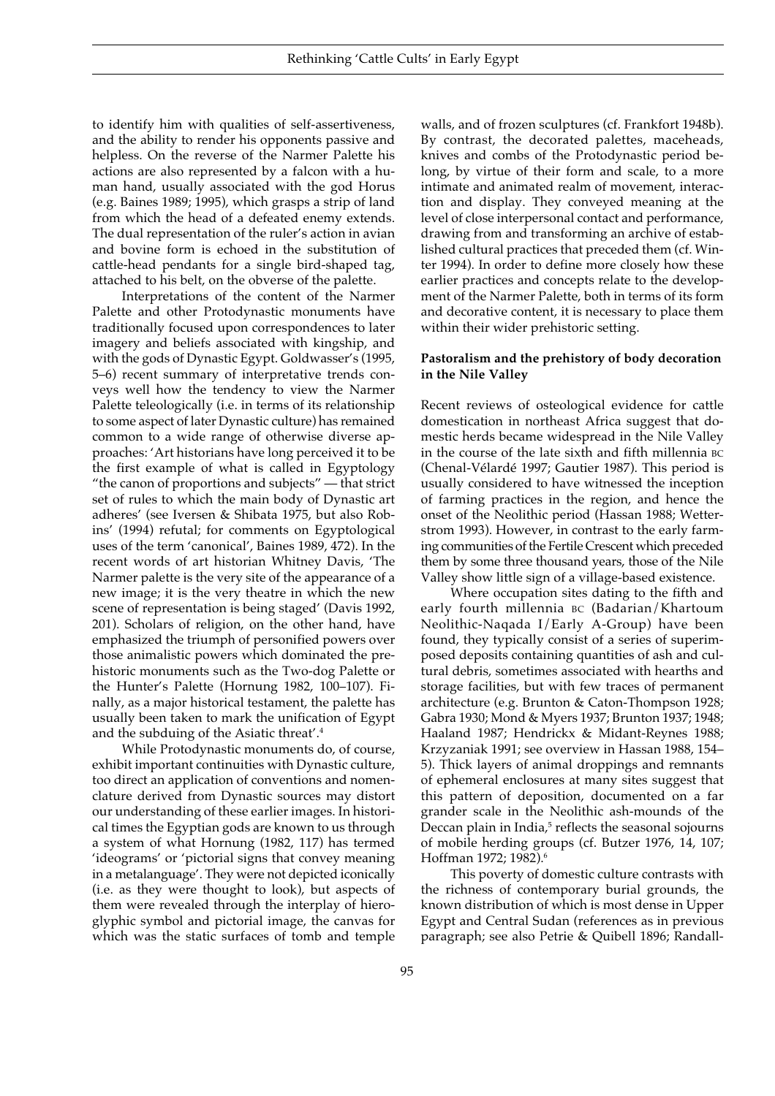to identify him with qualities of self-assertiveness, and the ability to render his opponents passive and helpless. On the reverse of the Narmer Palette his actions are also represented by a falcon with a human hand, usually associated with the god Horus (e.g. Baines 1989; 1995), which grasps a strip of land from which the head of a defeated enemy extends. The dual representation of the ruler's action in avian and bovine form is echoed in the substitution of cattle-head pendants for a single bird-shaped tag, attached to his belt, on the obverse of the palette.

Interpretations of the content of the Narmer Palette and other Protodynastic monuments have traditionally focused upon correspondences to later imagery and beliefs associated with kingship, and with the gods of Dynastic Egypt. Goldwasser's (1995, 5–6) recent summary of interpretative trends conveys well how the tendency to view the Narmer Palette teleologically (i.e. in terms of its relationship to some aspect of later Dynastic culture) has remained common to a wide range of otherwise diverse approaches: 'Art historians have long perceived it to be the first example of what is called in Egyptology "the canon of proportions and subjects" — that strict set of rules to which the main body of Dynastic art adheres' (see Iversen & Shibata 1975, but also Robins' (1994) refutal; for comments on Egyptological uses of the term 'canonical', Baines 1989, 472). In the recent words of art historian Whitney Davis, 'The Narmer palette is the very site of the appearance of a new image; it is the very theatre in which the new scene of representation is being staged' (Davis 1992, 201). Scholars of religion, on the other hand, have emphasized the triumph of personified powers over those animalistic powers which dominated the prehistoric monuments such as the Two-dog Palette or the Hunter's Palette (Hornung 1982, 100–107). Finally, as a major historical testament, the palette has usually been taken to mark the unification of Egypt and the subduing of the Asiatic threat'.4

While Protodynastic monuments do, of course, exhibit important continuities with Dynastic culture, too direct an application of conventions and nomenclature derived from Dynastic sources may distort our understanding of these earlier images. In historical times the Egyptian gods are known to us through a system of what Hornung (1982, 117) has termed 'ideograms' or 'pictorial signs that convey meaning in a metalanguage'. They were not depicted iconically (i.e. as they were thought to look), but aspects of them were revealed through the interplay of hieroglyphic symbol and pictorial image, the canvas for which was the static surfaces of tomb and temple

walls, and of frozen sculptures (cf. Frankfort 1948b). By contrast, the decorated palettes, maceheads, knives and combs of the Protodynastic period belong, by virtue of their form and scale, to a more intimate and animated realm of movement, interaction and display. They conveyed meaning at the level of close interpersonal contact and performance, drawing from and transforming an archive of established cultural practices that preceded them (cf. Winter 1994). In order to define more closely how these earlier practices and concepts relate to the development of the Narmer Palette, both in terms of its form and decorative content, it is necessary to place them within their wider prehistoric setting.

#### **Pastoralism and the prehistory of body decoration in the Nile Valley**

Recent reviews of osteological evidence for cattle domestication in northeast Africa suggest that domestic herds became widespread in the Nile Valley in the course of the late sixth and fifth millennia BC (Chenal-Vélardé 1997; Gautier 1987). This period is usually considered to have witnessed the inception of farming practices in the region, and hence the onset of the Neolithic period (Hassan 1988; Wetterstrom 1993). However, in contrast to the early farming communities of the Fertile Crescent which preceded them by some three thousand years, those of the Nile Valley show little sign of a village-based existence.

Where occupation sites dating to the fifth and early fourth millennia BC (Badarian/Khartoum Neolithic-Naqada I/Early A-Group) have been found, they typically consist of a series of superimposed deposits containing quantities of ash and cultural debris, sometimes associated with hearths and storage facilities, but with few traces of permanent architecture (e.g. Brunton & Caton-Thompson 1928; Gabra 1930; Mond & Myers 1937; Brunton 1937; 1948; Haaland 1987; Hendrickx & Midant-Reynes 1988; Krzyzaniak 1991; see overview in Hassan 1988, 154– 5). Thick layers of animal droppings and remnants of ephemeral enclosures at many sites suggest that this pattern of deposition, documented on a far grander scale in the Neolithic ash-mounds of the Deccan plain in India,<sup>5</sup> reflects the seasonal sojourns of mobile herding groups (cf. Butzer 1976, 14, 107; Hoffman 1972; 1982).<sup>6</sup>

This poverty of domestic culture contrasts with the richness of contemporary burial grounds, the known distribution of which is most dense in Upper Egypt and Central Sudan (references as in previous paragraph; see also Petrie & Quibell 1896; Randall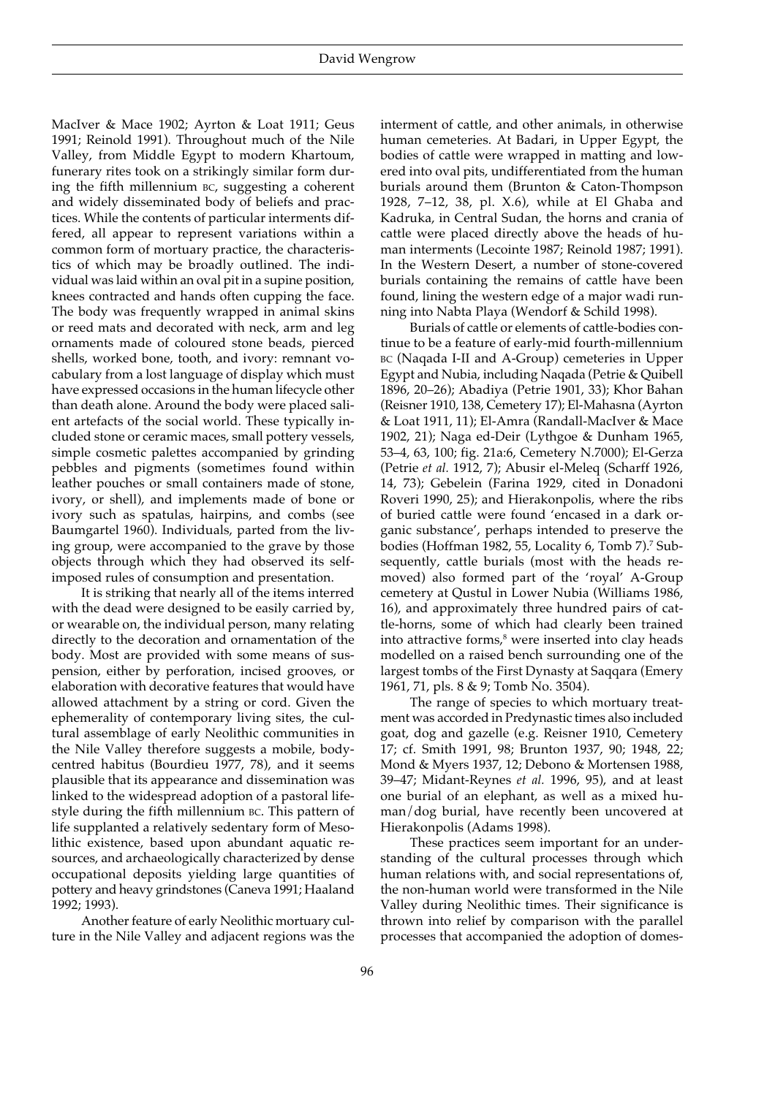MacIver & Mace 1902; Ayrton & Loat 1911; Geus 1991; Reinold 1991). Throughout much of the Nile Valley, from Middle Egypt to modern Khartoum, funerary rites took on a strikingly similar form during the fifth millennium BC, suggesting a coherent and widely disseminated body of beliefs and practices. While the contents of particular interments differed, all appear to represent variations within a common form of mortuary practice, the characteristics of which may be broadly outlined. The individual was laid within an oval pit in a supine position, knees contracted and hands often cupping the face. The body was frequently wrapped in animal skins or reed mats and decorated with neck, arm and leg ornaments made of coloured stone beads, pierced shells, worked bone, tooth, and ivory: remnant vocabulary from a lost language of display which must have expressed occasions in the human lifecycle other than death alone. Around the body were placed salient artefacts of the social world. These typically included stone or ceramic maces, small pottery vessels, simple cosmetic palettes accompanied by grinding pebbles and pigments (sometimes found within leather pouches or small containers made of stone, ivory, or shell), and implements made of bone or ivory such as spatulas, hairpins, and combs (see Baumgartel 1960). Individuals, parted from the living group, were accompanied to the grave by those objects through which they had observed its selfimposed rules of consumption and presentation.

It is striking that nearly all of the items interred with the dead were designed to be easily carried by, or wearable on, the individual person, many relating directly to the decoration and ornamentation of the body. Most are provided with some means of suspension, either by perforation, incised grooves, or elaboration with decorative features that would have allowed attachment by a string or cord. Given the ephemerality of contemporary living sites, the cultural assemblage of early Neolithic communities in the Nile Valley therefore suggests a mobile, bodycentred habitus (Bourdieu 1977, 78), and it seems plausible that its appearance and dissemination was linked to the widespread adoption of a pastoral lifestyle during the fifth millennium BC. This pattern of life supplanted a relatively sedentary form of Mesolithic existence, based upon abundant aquatic resources, and archaeologically characterized by dense occupational deposits yielding large quantities of pottery and heavy grindstones (Caneva 1991; Haaland 1992; 1993).

Another feature of early Neolithic mortuary culture in the Nile Valley and adjacent regions was the interment of cattle, and other animals, in otherwise human cemeteries. At Badari, in Upper Egypt, the bodies of cattle were wrapped in matting and lowered into oval pits, undifferentiated from the human burials around them (Brunton & Caton-Thompson 1928, 7–12, 38, pl. X.6), while at El Ghaba and Kadruka, in Central Sudan, the horns and crania of cattle were placed directly above the heads of human interments (Lecointe 1987; Reinold 1987; 1991). In the Western Desert, a number of stone-covered burials containing the remains of cattle have been found, lining the western edge of a major wadi running into Nabta Playa (Wendorf & Schild 1998).

Burials of cattle or elements of cattle-bodies continue to be a feature of early-mid fourth-millennium BC (Naqada I-II and A-Group) cemeteries in Upper Egypt and Nubia, including Naqada (Petrie & Quibell 1896, 20–26); Abadiya (Petrie 1901, 33); Khor Bahan (Reisner 1910, 138, Cemetery 17); El-Mahasna (Ayrton & Loat 1911, 11); El-Amra (Randall-MacIver & Mace 1902, 21); Naga ed-Deir (Lythgoe & Dunham 1965, 53–4, 63, 100; fig. 21a:6, Cemetery N.7000); El-Gerza (Petrie *et al.* 1912, 7); Abusir el-Meleq (Scharff 1926, 14, 73); Gebelein (Farina 1929, cited in Donadoni Roveri 1990, 25); and Hierakonpolis, where the ribs of buried cattle were found 'encased in a dark organic substance', perhaps intended to preserve the bodies (Hoffman 1982, 55, Locality 6, Tomb 7).<sup>7</sup> Subsequently, cattle burials (most with the heads removed) also formed part of the 'royal' A-Group cemetery at Qustul in Lower Nubia (Williams 1986, 16), and approximately three hundred pairs of cattle-horns, some of which had clearly been trained into attractive forms,<sup>8</sup> were inserted into clay heads modelled on a raised bench surrounding one of the largest tombs of the First Dynasty at Saqqara (Emery 1961, 71, pls. 8 & 9; Tomb No. 3504).

The range of species to which mortuary treatment was accorded in Predynastic times also included goat, dog and gazelle (e.g. Reisner 1910, Cemetery 17; cf. Smith 1991, 98; Brunton 1937, 90; 1948, 22; Mond & Myers 1937, 12; Debono & Mortensen 1988, 39–47; Midant-Reynes *et al.* 1996, 95), and at least one burial of an elephant, as well as a mixed human/dog burial, have recently been uncovered at Hierakonpolis (Adams 1998).

These practices seem important for an understanding of the cultural processes through which human relations with, and social representations of, the non-human world were transformed in the Nile Valley during Neolithic times. Their significance is thrown into relief by comparison with the parallel processes that accompanied the adoption of domes-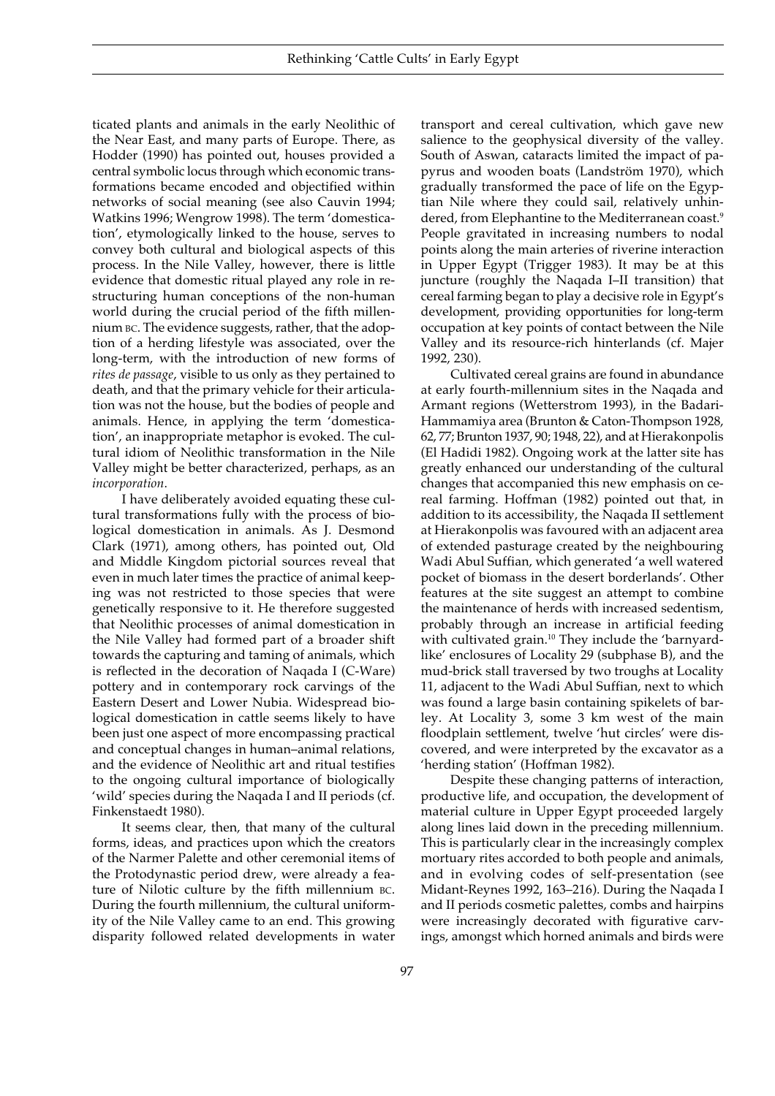ticated plants and animals in the early Neolithic of the Near East, and many parts of Europe. There, as Hodder (1990) has pointed out, houses provided a central symbolic locus through which economic transformations became encoded and objectified within networks of social meaning (see also Cauvin 1994; Watkins 1996; Wengrow 1998). The term 'domestication', etymologically linked to the house, serves to convey both cultural and biological aspects of this process. In the Nile Valley, however, there is little evidence that domestic ritual played any role in restructuring human conceptions of the non-human world during the crucial period of the fifth millennium BC. The evidence suggests, rather, that the adoption of a herding lifestyle was associated, over the long-term, with the introduction of new forms of *rites de passage*, visible to us only as they pertained to death, and that the primary vehicle for their articulation was not the house, but the bodies of people and animals. Hence, in applying the term 'domestication', an inappropriate metaphor is evoked. The cultural idiom of Neolithic transformation in the Nile Valley might be better characterized, perhaps, as an *incorporation*.

I have deliberately avoided equating these cultural transformations fully with the process of biological domestication in animals. As J. Desmond Clark (1971), among others, has pointed out, Old and Middle Kingdom pictorial sources reveal that even in much later times the practice of animal keeping was not restricted to those species that were genetically responsive to it. He therefore suggested that Neolithic processes of animal domestication in the Nile Valley had formed part of a broader shift towards the capturing and taming of animals, which is reflected in the decoration of Naqada I (C-Ware) pottery and in contemporary rock carvings of the Eastern Desert and Lower Nubia. Widespread biological domestication in cattle seems likely to have been just one aspect of more encompassing practical and conceptual changes in human–animal relations, and the evidence of Neolithic art and ritual testifies to the ongoing cultural importance of biologically 'wild' species during the Naqada I and II periods (cf. Finkenstaedt 1980).

It seems clear, then, that many of the cultural forms, ideas, and practices upon which the creators of the Narmer Palette and other ceremonial items of the Protodynastic period drew, were already a feature of Nilotic culture by the fifth millennium BC. During the fourth millennium, the cultural uniformity of the Nile Valley came to an end. This growing disparity followed related developments in water

transport and cereal cultivation, which gave new salience to the geophysical diversity of the valley. South of Aswan, cataracts limited the impact of papyrus and wooden boats (Landström 1970), which gradually transformed the pace of life on the Egyptian Nile where they could sail, relatively unhindered, from Elephantine to the Mediterranean coast.<sup>9</sup> People gravitated in increasing numbers to nodal points along the main arteries of riverine interaction in Upper Egypt (Trigger 1983). It may be at this juncture (roughly the Naqada I–II transition) that cereal farming began to play a decisive role in Egypt's development, providing opportunities for long-term occupation at key points of contact between the Nile Valley and its resource-rich hinterlands (cf. Majer 1992, 230).

Cultivated cereal grains are found in abundance at early fourth-millennium sites in the Naqada and Armant regions (Wetterstrom 1993), in the Badari-Hammamiya area (Brunton & Caton-Thompson 1928, 62, 77; Brunton 1937, 90; 1948, 22), and at Hierakonpolis (El Hadidi 1982). Ongoing work at the latter site has greatly enhanced our understanding of the cultural changes that accompanied this new emphasis on cereal farming. Hoffman (1982) pointed out that, in addition to its accessibility, the Naqada II settlement at Hierakonpolis was favoured with an adjacent area of extended pasturage created by the neighbouring Wadi Abul Suffian, which generated 'a well watered pocket of biomass in the desert borderlands'. Other features at the site suggest an attempt to combine the maintenance of herds with increased sedentism, probably through an increase in artificial feeding with cultivated grain.<sup>10</sup> They include the 'barnyardlike' enclosures of Locality 29 (subphase B), and the mud-brick stall traversed by two troughs at Locality 11, adjacent to the Wadi Abul Suffian, next to which was found a large basin containing spikelets of barley. At Locality 3, some 3 km west of the main floodplain settlement, twelve 'hut circles' were discovered, and were interpreted by the excavator as a 'herding station' (Hoffman 1982).

Despite these changing patterns of interaction, productive life, and occupation, the development of material culture in Upper Egypt proceeded largely along lines laid down in the preceding millennium. This is particularly clear in the increasingly complex mortuary rites accorded to both people and animals, and in evolving codes of self-presentation (see Midant-Reynes 1992, 163–216). During the Naqada I and II periods cosmetic palettes, combs and hairpins were increasingly decorated with figurative carvings, amongst which horned animals and birds were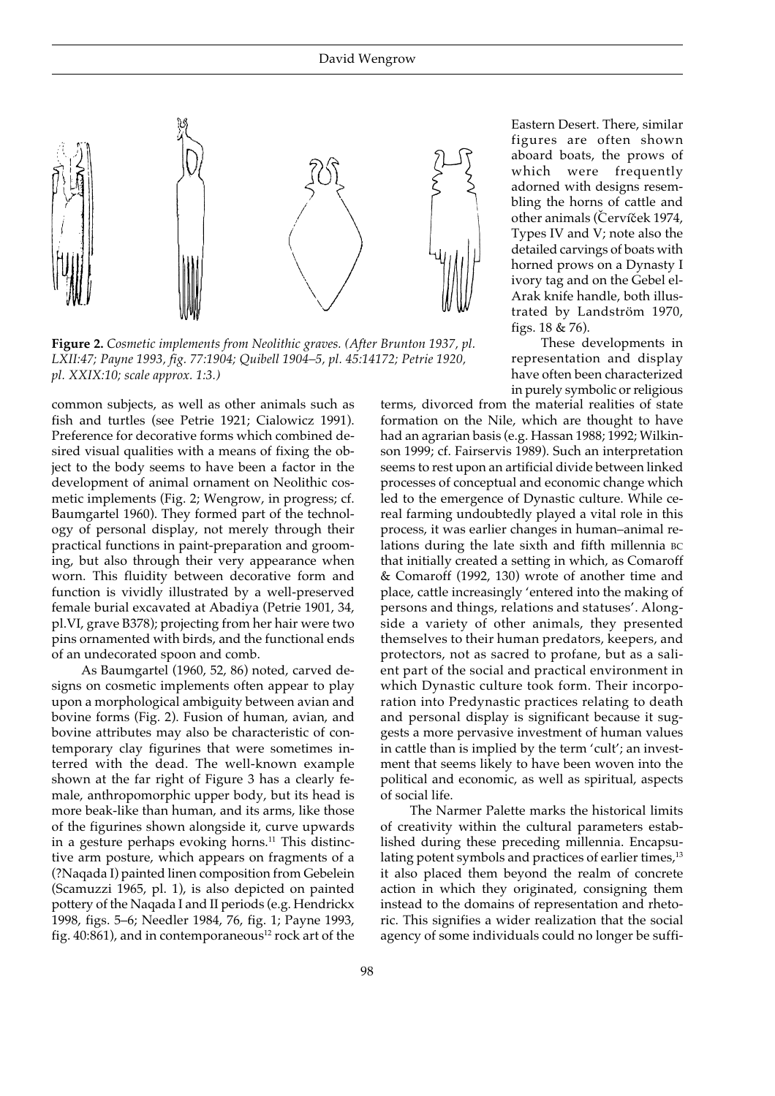

**Figure 2.** *Cosmetic implements from Neolithic graves. (After Brunton 1937, pl. LXII:47; Payne 1993, fig. 77:1904; Quibell 1904–5, pl. 45:14172; Petrie 1920, pl. XXIX:10; scale approx. 1:3.)*

common subjects, as well as other animals such as fish and turtles (see Petrie 1921; Cialowicz 1991). Preference for decorative forms which combined desired visual qualities with a means of fixing the object to the body seems to have been a factor in the development of animal ornament on Neolithic cosmetic implements (Fig. 2; Wengrow, in progress; cf. Baumgartel 1960). They formed part of the technology of personal display, not merely through their practical functions in paint-preparation and grooming, but also through their very appearance when worn. This fluidity between decorative form and function is vividly illustrated by a well-preserved female burial excavated at Abadiya (Petrie 1901, 34, pl.VI, grave B378); projecting from her hair were two pins ornamented with birds, and the functional ends of an undecorated spoon and comb.

As Baumgartel (1960, 52, 86) noted, carved designs on cosmetic implements often appear to play upon a morphological ambiguity between avian and bovine forms (Fig. 2). Fusion of human, avian, and bovine attributes may also be characteristic of contemporary clay figurines that were sometimes interred with the dead. The well-known example shown at the far right of Figure 3 has a clearly female, anthropomorphic upper body, but its head is more beak-like than human, and its arms, like those of the figurines shown alongside it, curve upwards in a gesture perhaps evoking horns.<sup>11</sup> This distinctive arm posture, which appears on fragments of a (?Naqada I) painted linen composition from Gebelein (Scamuzzi 1965, pl. 1), is also depicted on painted pottery of the Naqada I and II periods (e.g. Hendrickx 1998, figs. 5–6; Needler 1984, 76, fig. 1; Payne 1993, fig. 40:861), and in contemporaneous<sup>12</sup> rock art of the Eastern Desert. There, similar figures are often shown aboard boats, the prows of which were frequently adorned with designs resembling the horns of cattle and other animals (Cervíček 1974, Types IV and V; note also the detailed carvings of boats with horned prows on a Dynasty I ivory tag and on the Gebel el-Arak knife handle, both illustrated by Landström 1970, figs. 18 & 76).

These developments in representation and display have often been characterized in purely symbolic or religious

terms, divorced from the material realities of state formation on the Nile, which are thought to have had an agrarian basis (e.g. Hassan 1988; 1992; Wilkinson 1999; cf. Fairservis 1989). Such an interpretation seems to rest upon an artificial divide between linked processes of conceptual and economic change which led to the emergence of Dynastic culture. While cereal farming undoubtedly played a vital role in this process, it was earlier changes in human–animal relations during the late sixth and fifth millennia BC that initially created a setting in which, as Comaroff & Comaroff (1992, 130) wrote of another time and place, cattle increasingly 'entered into the making of persons and things, relations and statuses'. Alongside a variety of other animals, they presented themselves to their human predators, keepers, and protectors, not as sacred to profane, but as a salient part of the social and practical environment in which Dynastic culture took form. Their incorporation into Predynastic practices relating to death and personal display is significant because it suggests a more pervasive investment of human values in cattle than is implied by the term 'cult'; an investment that seems likely to have been woven into the political and economic, as well as spiritual, aspects of social life.

The Narmer Palette marks the historical limits of creativity within the cultural parameters established during these preceding millennia. Encapsulating potent symbols and practices of earlier times,<sup>13</sup> it also placed them beyond the realm of concrete action in which they originated, consigning them instead to the domains of representation and rhetoric. This signifies a wider realization that the social agency of some individuals could no longer be suffi-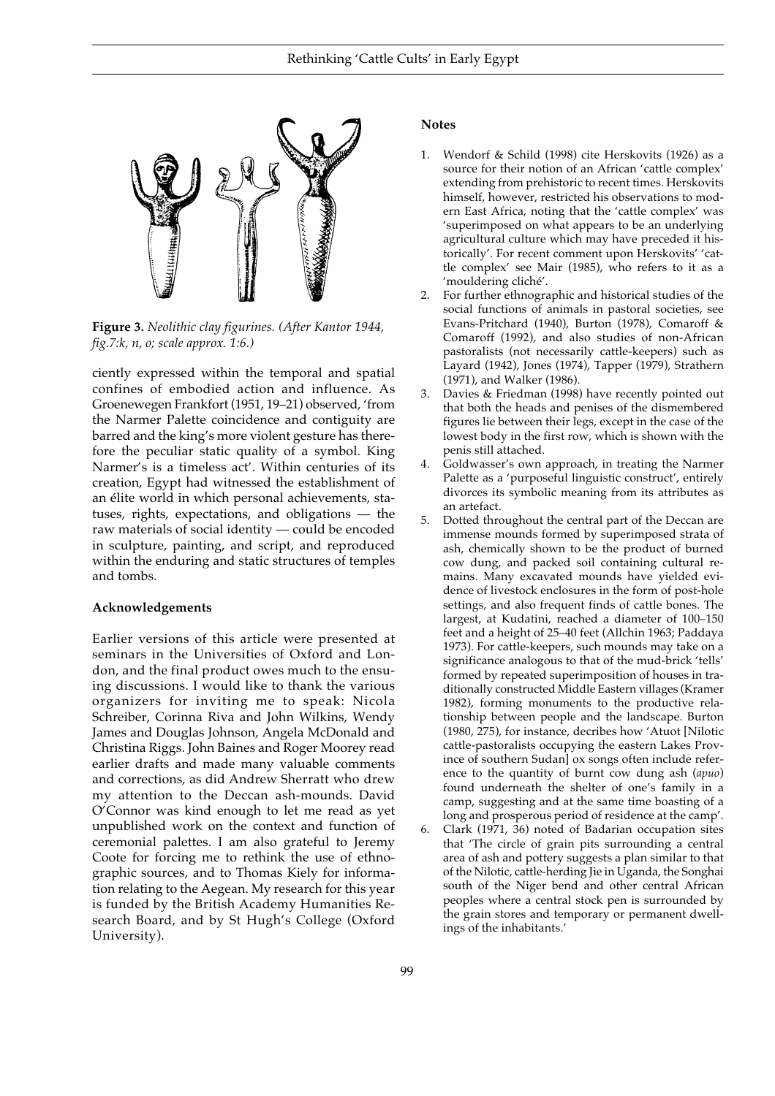

**Figure 3.** *Neolithic clay figurines. (After Kantor 1944, fig.7:k, n, o; scale approx. 1:6.)*

ciently expressed within the temporal and spatial confines of embodied action and influence. As Groenewegen Frankfort (1951, 19–21) observed, 'from the Narmer Palette coincidence and contiguity are barred and the king's more violent gesture has therefore the peculiar static quality of a symbol. King Narmer's is a timeless act'. Within centuries of its creation, Egypt had witnessed the establishment of an élite world in which personal achievements, statuses, rights, expectations, and obligations — the raw materials of social identity — could be encoded in sculpture, painting, and script, and reproduced within the enduring and static structures of temples and tombs.

### **Acknowledgements**

Earlier versions of this article were presented at seminars in the Universities of Oxford and London, and the final product owes much to the ensuing discussions. I would like to thank the various organizers for inviting me to speak: Nicola Schreiber, Corinna Riva and John Wilkins, Wendy James and Douglas Johnson, Angela McDonald and Christina Riggs. John Baines and Roger Moorey read earlier drafts and made many valuable comments and corrections, as did Andrew Sherratt who drew my attention to the Deccan ash-mounds. David O'Connor was kind enough to let me read as yet unpublished work on the context and function of ceremonial palettes. I am also grateful to Jeremy Coote for forcing me to rethink the use of ethnographic sources, and to Thomas Kiely for information relating to the Aegean. My research for this year is funded by the British Academy Humanities Research Board, and by St Hugh's College (Oxford University).

#### **Notes**

- 1. Wendorf & Schild (1998) cite Herskovits (1926) as a source for their notion of an African 'cattle complex' extending from prehistoric to recent times. Herskovits himself, however, restricted his observations to modern East Africa, noting that the 'cattle complex' was 'superimposed on what appears to be an underlying agricultural culture which may have preceded it historically'. For recent comment upon Herskovits' 'cattle complex' see Mair (1985), who refers to it as a 'mouldering cliché'.
- For further ethnographic and historical studies of the social functions of animals in pastoral societies, see Evans-Pritchard (1940), Burton (1978), Comaroff & Comaroff (1992), and also studies of non-African pastoralists (not necessarily cattle-keepers) such as Layard (1942), Jones (1974), Tapper (1979), Strathern (1971), and Walker (1986).
- Davies & Friedman (1998) have recently pointed out that both the heads and penises of the dismembered figures lie between their legs, except in the case of the lowest body in the first row, which is shown with the penis still attached.
- 4. Goldwasser's own approach, in treating the Narmer Palette as a 'purposeful linguistic construct', entirely divorces its symbolic meaning from its attributes as an artefact.
- 5. Dotted throughout the central part of the Deccan are immense mounds formed by superimposed strata of ash, chemically shown to be the product of burned cow dung, and packed soil containing cultural remains. Many excavated mounds have yielded evidence of livestock enclosures in the form of post-hole settings, and also frequent finds of cattle bones. The largest, at Kudatini, reached a diameter of 100–150 feet and a height of 25–40 feet (Allchin 1963; Paddaya 1973). For cattle-keepers, such mounds may take on a significance analogous to that of the mud-brick 'tells' formed by repeated superimposition of houses in traditionally constructed Middle Eastern villages (Kramer 1982), forming monuments to the productive relationship between people and the landscape. Burton (1980, 275), for instance, decribes how 'Atuot [Nilotic cattle-pastoralists occupying the eastern Lakes Province of southern Sudan] ox songs often include reference to the quantity of burnt cow dung ash (*apuo*) found underneath the shelter of one's family in a camp, suggesting and at the same time boasting of a long and prosperous period of residence at the camp'.
- Clark (1971, 36) noted of Badarian occupation sites that 'The circle of grain pits surrounding a central area of ash and pottery suggests a plan similar to that of the Nilotic, cattle-herding Jie in Uganda, the Songhai south of the Niger bend and other central African peoples where a central stock pen is surrounded by the grain stores and temporary or permanent dwellings of the inhabitants.'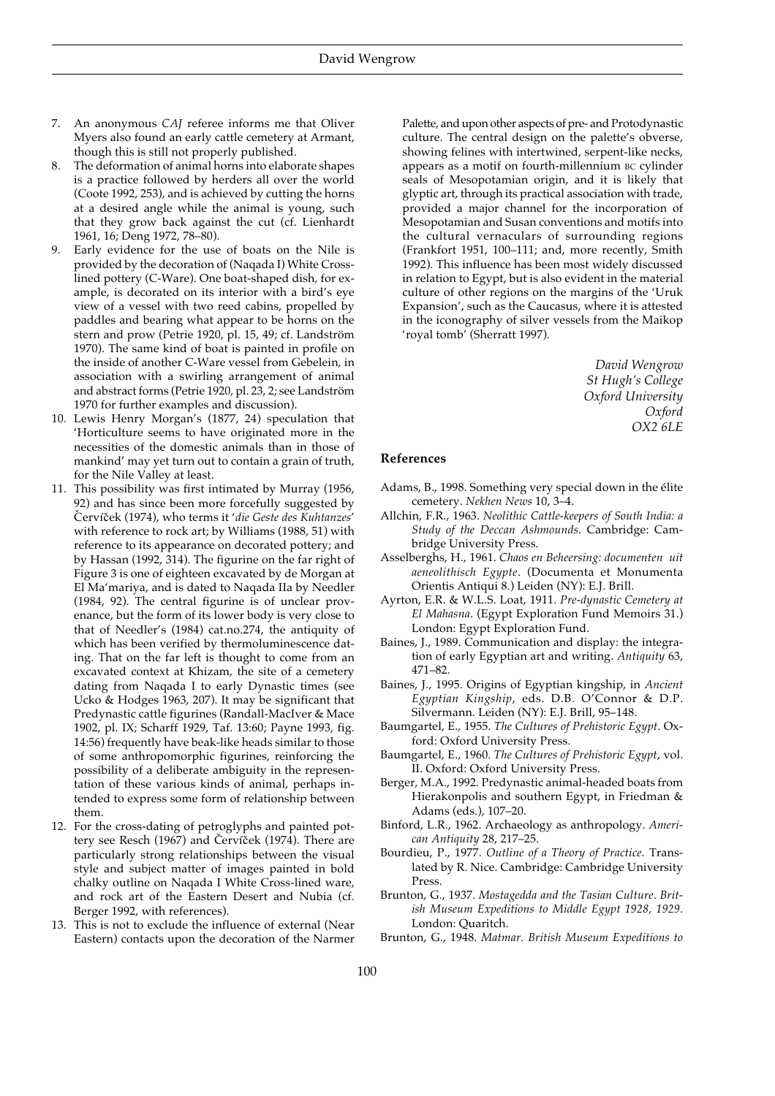- 7. An anonymous *CAJ* referee informs me that Oliver Myers also found an early cattle cemetery at Armant, though this is still not properly published.
- 8. The deformation of animal horns into elaborate shapes is a practice followed by herders all over the world (Coote 1992, 253), and is achieved by cutting the horns at a desired angle while the animal is young, such that they grow back against the cut (cf. Lienhardt 1961, 16; Deng 1972, 78–80).
- 9. Early evidence for the use of boats on the Nile is provided by the decoration of (Naqada I) White Crosslined pottery (C-Ware). One boat-shaped dish, for example, is decorated on its interior with a bird's eye view of a vessel with two reed cabins, propelled by paddles and bearing what appear to be horns on the stern and prow (Petrie 1920, pl. 15, 49; cf. Landström 1970). The same kind of boat is painted in profile on the inside of another C-Ware vessel from Gebelein, in association with a swirling arrangement of animal and abstract forms (Petrie 1920, pl. 23, 2; see Landström 1970 for further examples and discussion).
- 10. Lewis Henry Morgan's (1877, 24) speculation that 'Horticulture seems to have originated more in the necessities of the domestic animals than in those of mankind' may yet turn out to contain a grain of truth, for the Nile Valley at least.
- 11. This possibility was first intimated by Murray (1956, 92) and has since been more forcefully suggested by Červíček (1974), who terms it '*die Geste des Kuhtanzes'* with reference to rock art; by Williams (1988, 51) with reference to its appearance on decorated pottery; and by Hassan (1992, 314). The figurine on the far right of Figure 3 is one of eighteen excavated by de Morgan at El Ma'mariya, and is dated to Naqada IIa by Needler (1984, 92). The central figurine is of unclear provenance, but the form of its lower body is very close to that of Needler's (1984) cat.no.274, the antiquity of which has been verified by thermoluminescence dating. That on the far left is thought to come from an excavated context at Khizam, the site of a cemetery dating from Naqada I to early Dynastic times (see Ucko & Hodges 1963, 207). It may be significant that Predynastic cattle figurines (Randall-MacIver & Mace 1902, pl. IX; Scharff 1929, Taf. 13:60; Payne 1993, fig. 14:56) frequently have beak-like heads similar to those of some anthropomorphic figurines, reinforcing the possibility of a deliberate ambiguity in the representation of these various kinds of animal, perhaps intended to express some form of relationship between them.
- 12. For the cross-dating of petroglyphs and painted pottery see Resch (1967) and Červíček (1974). There are particularly strong relationships between the visual style and subject matter of images painted in bold chalky outline on Naqada I White Cross-lined ware, and rock art of the Eastern Desert and Nubia (cf. Berger 1992, with references).
- 13. This is not to exclude the influence of external (Near Eastern) contacts upon the decoration of the Narmer

Palette, and upon other aspects of pre- and Protodynastic culture. The central design on the palette's obverse, showing felines with intertwined, serpent-like necks, appears as a motif on fourth-millennium BC cylinder seals of Mesopotamian origin, and it is likely that glyptic art, through its practical association with trade, provided a major channel for the incorporation of Mesopotamian and Susan conventions and motifs into the cultural vernaculars of surrounding regions (Frankfort 1951, 100–111; and, more recently, Smith 1992). This influence has been most widely discussed in relation to Egypt, but is also evident in the material culture of other regions on the margins of the 'Uruk Expansion', such as the Caucasus, where it is attested in the iconography of silver vessels from the Maikop 'royal tomb' (Sherratt 1997).

> *David Wengrow St Hugh's College Oxford University Oxford OX2 6LE*

#### **References**

- Adams, B., 1998. Something very special down in the élite cemetery. *Nekhen News* 10, 3–4.
- Allchin, F.R., 1963. *Neolithic Cattle-keepers of South India: a Study of the Deccan Ashmounds*. Cambridge: Cambridge University Press.
- Asselberghs, H., 1961. *Chaos en Beheersing: documenten uit aeneolithisch Egypte*. (Documenta et Monumenta Orientis Antiqui 8.) Leiden (NY): E.J. Brill.
- Ayrton, E.R. & W.L.S. Loat, 1911. *Pre-dynastic Cemetery at El Mahasna*. (Egypt Exploration Fund Memoirs 31.) London: Egypt Exploration Fund.
- Baines, J., 1989. Communication and display: the integration of early Egyptian art and writing. *Antiquity* 63, 471–82.
- Baines, J., 1995. Origins of Egyptian kingship, in *Ancient Egyptian Kingship*, eds. D.B. O'Connor & D.P. Silvermann. Leiden (NY): E.J. Brill, 95–148.
- Baumgartel, E., 1955. *The Cultures of Prehistoric Egypt*. Oxford: Oxford University Press.
- Baumgartel, E., 1960. *The Cultures of Prehistoric Egypt*, vol. II. Oxford: Oxford University Press.
- Berger, M.A., 1992. Predynastic animal-headed boats from Hierakonpolis and southern Egypt, in Friedman & Adams (eds.), 107–20.
- Binford, L.R., 1962. Archaeology as anthropology. *American Antiquity* 28, 217–25.
- Bourdieu, P., 1977. *Outline of a Theory of Practice*. Translated by R. Nice. Cambridge: Cambridge University Press.
- Brunton, G., 1937. *Mostagedda and the Tasian Culture*. *British Museum Expeditions to Middle Egypt 1928, 1929*. London: Quaritch.
- Brunton, G., 1948. *Matmar*. *British Museum Expeditions to*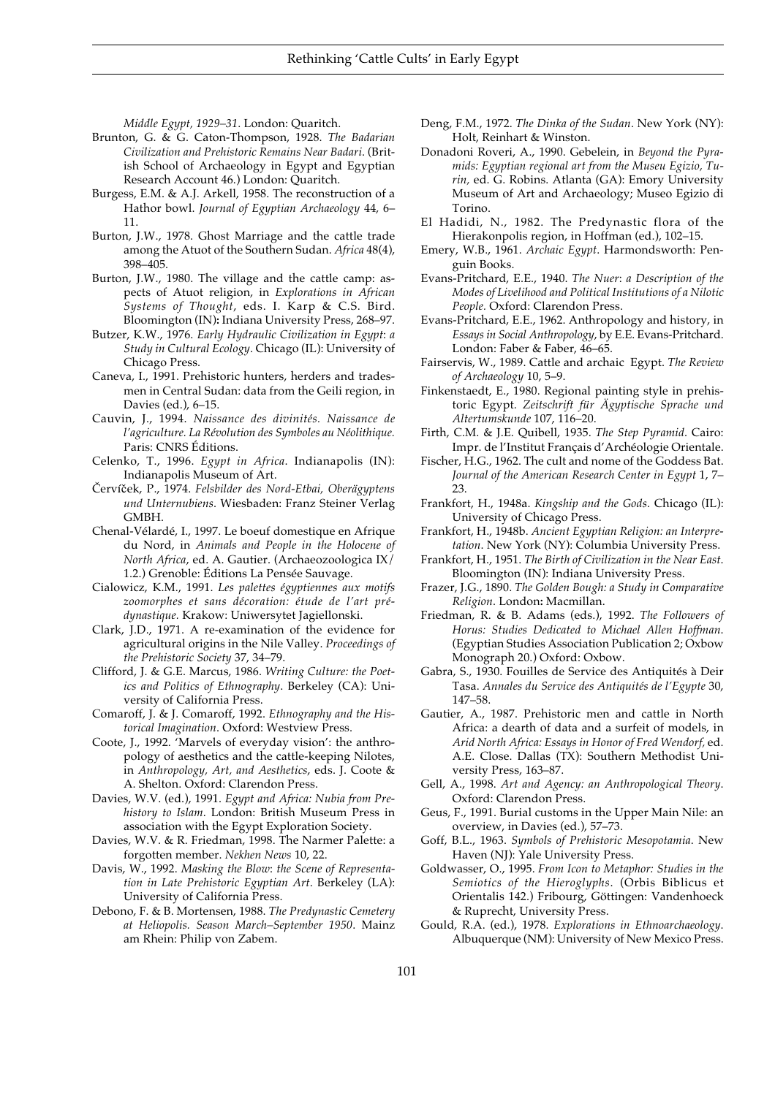*Middle Egypt, 1929–31*. London: Quaritch.

- Brunton, G. & G. Caton-Thompson, 1928. *The Badarian Civilization and Prehistoric Remains Near Badari*. (British School of Archaeology in Egypt and Egyptian Research Account 46.) London: Quaritch.
- Burgess, E.M. & A.J. Arkell, 1958. The reconstruction of a Hathor bowl. *Journal of Egyptian Archaeology* 44, 6– 11.
- Burton, J.W., 1978. Ghost Marriage and the cattle trade among the Atuot of the Southern Sudan. *Africa* 48(4), 398–405.
- Burton, J.W., 1980. The village and the cattle camp: aspects of Atuot religion, in *Explorations in African Systems of Thought*, eds. I. Karp & C.S. Bird. Bloomington (IN)**:** Indiana University Press, 268–97.
- Butzer, K.W., 1976. *Early Hydraulic Civilization in Egypt*: *a Study in Cultural Ecology*. Chicago (IL): University of Chicago Press.
- Caneva, I., 1991. Prehistoric hunters, herders and tradesmen in Central Sudan: data from the Geili region, in Davies (ed.), 6–15.
- Cauvin, J., 1994. *Naissance des divinités. Naissance de l'agriculture. La Révolution des Symboles au Néolithique.* Paris: CNRS Éditions.
- Celenko, T., 1996. *Egypt in Africa*. Indianapolis (IN): Indianapolis Museum of Art.
- C &ervíc&ek, P., 1974. *Felsbilder des Nord-Etbai, Oberägyptens und Unternubiens*. Wiesbaden: Franz Steiner Verlag GMBH.
- Chenal-Vélardé, I., 1997. Le boeuf domestique en Afrique du Nord, in *Animals and People in the Holocene of North Africa*, ed. A. Gautier. (Archaeozoologica IX/ 1.2.) Grenoble: Éditions La Pensée Sauvage.
- Cialowicz, K.M., 1991. *Les palettes égyptiennes aux motifs zoomorphes et sans décoration: étude de l'art prédynastique.* Krakow: Uniwersytet Jagiellonski.
- Clark, J.D., 1971. A re-examination of the evidence for agricultural origins in the Nile Valley. *Proceedings of the Prehistoric Society* 37, 34–79.
- Clifford, J. & G.E. Marcus, 1986. *Writing Culture: the Poetics and Politics of Ethnography*. Berkeley (CA): University of California Press.
- Comaroff, J. & J. Comaroff, 1992. *Ethnography and the Historical Imagination*. Oxford: Westview Press.
- Coote, J., 1992. 'Marvels of everyday vision': the anthropology of aesthetics and the cattle-keeping Nilotes, in *Anthropology, Art, and Aesthetics*, eds. J. Coote & A. Shelton. Oxford: Clarendon Press.
- Davies, W.V. (ed.), 1991. *Egypt and Africa: Nubia from Prehistory to Islam*. London: British Museum Press in association with the Egypt Exploration Society.
- Davies, W.V. & R. Friedman, 1998. The Narmer Palette: a forgotten member. *Nekhen News* 10, 22.
- Davis, W., 1992. *Masking the Blow*: *the Scene of Representation in Late Prehistoric Egyptian Art*. Berkeley (LA): University of California Press.
- Debono, F. & B. Mortensen, 1988. *The Predynastic Cemetery at Heliopolis. Season March–September 1950*. Mainz am Rhein: Philip von Zabem.
- Deng, F.M., 1972. *The Dinka of the Sudan*. New York (NY): Holt, Reinhart & Winston.
- Donadoni Roveri, A., 1990. Gebelein, in *Beyond the Pyramids: Egyptian regional art from the Museu Egizio, Turin,* ed. G. Robins. Atlanta (GA): Emory University Museum of Art and Archaeology; Museo Egizio di Torino.
- El Hadidi, N., 1982. The Predynastic flora of the Hierakonpolis region, in Hoffman (ed.), 102–15.
- Emery, W.B., 1961. *Archaic Egypt*. Harmondsworth: Penguin Books.
- Evans-Pritchard, E.E., 1940. *The Nuer*: *a Description of the Modes of Livelihood and Political Institutions of a Nilotic People.* Oxford: Clarendon Press.
- Evans-Pritchard, E.E., 1962. Anthropology and history, in *Essays in Social Anthropology*, by E.E. Evans-Pritchard. London: Faber & Faber, 46–65.
- Fairservis, W., 1989. Cattle and archaic Egypt. *The Review of Archaeology* 10, 5–9.
- Finkenstaedt, E., 1980. Regional painting style in prehistoric Egypt. *Zeitschrift für Ägyptische Sprache und Altertumskunde* 107, 116–20.
- Firth, C.M. & J.E. Quibell, 1935. *The Step Pyramid*. Cairo: Impr. de l'Institut Français d'Archéologie Orientale.
- Fischer, H.G., 1962. The cult and nome of the Goddess Bat. *Journal of the American Research Center in Egypt* 1, 7– 23.
- Frankfort, H., 1948a. *Kingship and the Gods*. Chicago (IL): University of Chicago Press.
- Frankfort, H., 1948b. *Ancient Egyptian Religion: an Interpretation*. New York (NY): Columbia University Press.
- Frankfort, H., 1951. *The Birth of Civilization in the Near East*. Bloomington (IN): Indiana University Press.
- Frazer, J.G., 1890. *The Golden Bough: a Study in Comparative Religion*. London**:** Macmillan.
- Friedman, R. & B. Adams (eds.), 1992. *The Followers of Horus: Studies Dedicated to Michael Allen Hoffman*. (Egyptian Studies Association Publication 2; Oxbow Monograph 20.) Oxford: Oxbow.
- Gabra, S., 1930. Fouilles de Service des Antiquités à Deir Tasa. *Annales du Service des Antiquités de l'Egypte* 30, 147–58.
- Gautier, A., 1987. Prehistoric men and cattle in North Africa: a dearth of data and a surfeit of models, in *Arid North Africa: Essays in Honor of Fred Wendorf,* ed. A.E. Close. Dallas (TX): Southern Methodist University Press, 163–87.
- Gell, A., 1998. *Art and Agency: an Anthropological Theory*. Oxford: Clarendon Press.
- Geus, F., 1991. Burial customs in the Upper Main Nile: an overview, in Davies (ed.), 57–73.
- Goff, B.L., 1963. *Symbols of Prehistoric Mesopotamia*. New Haven (NJ): Yale University Press.
- Goldwasser, O., 1995. *From Icon to Metaphor: Studies in the Semiotics of the Hieroglyphs*. (Orbis Biblicus et Orientalis 142.) Fribourg, Göttingen: Vandenhoeck & Ruprecht, University Press.
- Gould, R.A. (ed.), 1978. *Explorations in Ethnoarchaeology*. Albuquerque (NM): University of New Mexico Press.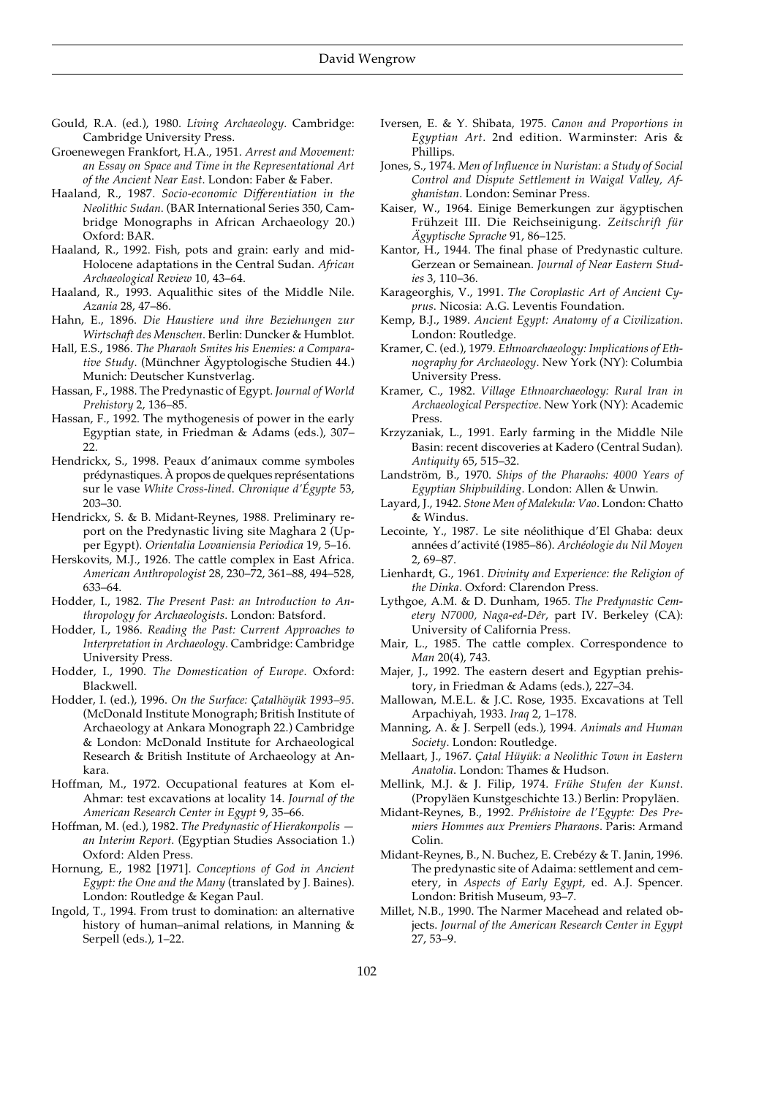- Gould, R.A. (ed.), 1980. *Living Archaeology*. Cambridge: Cambridge University Press.
- Groenewegen Frankfort, H.A., 1951. *Arrest and Movement: an Essay on Space and Time in the Representational Art of the Ancient Near East*. London: Faber & Faber.
- Haaland, R., 1987. *Socio-economic Differentiation in the Neolithic Sudan*. (BAR International Series 350, Cambridge Monographs in African Archaeology 20.) Oxford: BAR.
- Haaland, R., 1992. Fish, pots and grain: early and mid-Holocene adaptations in the Central Sudan. *African Archaeological Review* 10, 43–64.
- Haaland, R., 1993. Aqualithic sites of the Middle Nile. *Azania* 28, 47–86.
- Hahn, E., 1896. *Die Haustiere und ihre Beziehungen zur Wirtschaft des Menschen*. Berlin: Duncker & Humblot.
- Hall, E.S., 1986. *The Pharaoh Smites his Enemies: a Comparative Study*. (Münchner Ägyptologische Studien 44.) Munich: Deutscher Kunstverlag.
- Hassan, F., 1988. The Predynastic of Egypt. *Journal of World Prehistory* 2, 136–85.
- Hassan, F., 1992. The mythogenesis of power in the early Egyptian state, in Friedman & Adams (eds.), 307– 22.
- Hendrickx, S., 1998. Peaux d'animaux comme symboles prédynastiques. À propos de quelques représentations sur le vase *White Cross-lined*. *Chronique d'Égypte* 53, 203–30.
- Hendrickx, S. & B. Midant-Reynes, 1988. Preliminary report on the Predynastic living site Maghara 2 (Upper Egypt). *Orientalia Lovaniensia Periodica* 19, 5–16.
- Herskovits, M.J., 1926. The cattle complex in East Africa. *American Anthropologist* 28, 230–72, 361–88, 494–528, 633–64.
- Hodder, I., 1982. *The Present Past: an Introduction to Anthropology for Archaeologists*. London: Batsford.
- Hodder, I., 1986. *Reading the Past: Current Approaches to Interpretation in Archaeology*. Cambridge: Cambridge University Press.
- Hodder, I., 1990. *The Domestication of Europe*. Oxford: Blackwell.
- Hodder, I. (ed.), 1996. *On the Surface: Çatalhöyük 1993–95*. (McDonald Institute Monograph; British Institute of Archaeology at Ankara Monograph 22.) Cambridge & London: McDonald Institute for Archaeological Research & British Institute of Archaeology at Ankara.
- Hoffman, M., 1972. Occupational features at Kom el-Ahmar: test excavations at locality 14. *Journal of the American Research Center in Egypt* 9, 35–66.
- Hoffman, M. (ed.), 1982. *The Predynastic of Hierakonpolis an Interim Report*. (Egyptian Studies Association 1.) Oxford: Alden Press.
- Hornung, E., 1982 [1971]. *Conceptions of God in Ancient Egypt: the One and the Many* (translated by J. Baines). London: Routledge & Kegan Paul.
- Ingold, T., 1994. From trust to domination: an alternative history of human–animal relations, in Manning & Serpell (eds.), 1–22.
- Iversen, E. & Y. Shibata, 1975. *Canon and Proportions in Egyptian Art*. 2nd edition. Warminster: Aris & Phillips.
- Jones, S., 1974. *Men of Influence in Nuristan: a Study of Social Control and Dispute Settlement in Waigal Valley, Afghanistan*. London: Seminar Press.
- Kaiser, W., 1964. Einige Bemerkungen zur ägyptischen Frühzeit III. Die Reichseinigung. *Zeitschrift für Ägyptische Sprache* 91, 86–125.
- Kantor, H., 1944. The final phase of Predynastic culture. Gerzean or Semainean. *Journal of Near Eastern Studies* 3, 110–36.
- Karageorghis, V., 1991. *The Coroplastic Art of Ancient Cyprus*. Nicosia: A.G. Leventis Foundation.
- Kemp, B.J., 1989. *Ancient Egypt: Anatomy of a Civilization*. London: Routledge.
- Kramer, C. (ed.), 1979. *Ethnoarchaeology: Implications of Ethnography for Archaeology*. New York (NY): Columbia University Press.
- Kramer, C., 1982. *Village Ethnoarchaeology: Rural Iran in Archaeological Perspective*. New York (NY): Academic Press.
- Krzyzaniak, L., 1991. Early farming in the Middle Nile Basin: recent discoveries at Kadero (Central Sudan). *Antiquity* 65, 515–32.
- Landström, B., 1970. *Ships of the Pharaohs: 4000 Years of Egyptian Shipbuilding*. London: Allen & Unwin.
- Layard, J., 1942. *Stone Men of Malekula: Vao*. London: Chatto & Windus.
- Lecointe, Y., 1987. Le site néolithique d'El Ghaba: deux années d'activité (1985–86). *Archéologie du Nil Moyen* 2, 69–87.
- Lienhardt, G., 1961. *Divinity and Experience: the Religion of the Dinka*. Oxford: Clarendon Press.
- Lythgoe, A.M. & D. Dunham, 1965. *The Predynastic Cemetery N7000, Naga-ed-Dêr*, part IV. Berkeley (CA): University of California Press.
- Mair, L., 1985. The cattle complex. Correspondence to *Man* 20(4), 743.
- Majer, J., 1992. The eastern desert and Egyptian prehistory, in Friedman & Adams (eds.), 227–34.
- Mallowan, M.E.L. & J.C. Rose, 1935. Excavations at Tell Arpachiyah, 1933. *Iraq* 2, 1–178.
- Manning, A. & J. Serpell (eds.), 1994. *Animals and Human Society*. London: Routledge.
- Mellaart, J., 1967. *Çatal Hüyük: a Neolithic Town in Eastern Anatolia*. London: Thames & Hudson.
- Mellink, M.J. & J. Filip, 1974. *Frühe Stufen der Kunst*. (Propyläen Kunstgeschichte 13.) Berlin: Propyläen.
- Midant-Reynes, B., 1992. *Préhistoire de l'Egypte: Des Premiers Hommes aux Premiers Pharaons*. Paris: Armand Colin.
- Midant-Reynes, B., N. Buchez, E. Crebézy & T. Janin, 1996. The predynastic site of Adaima: settlement and cemetery, in *Aspects of Early Egypt*, ed. A.J. Spencer. London: British Museum, 93–7.
- Millet, N.B., 1990. The Narmer Macehead and related objects. *Journal of the American Research Center in Egypt* 27, 53–9.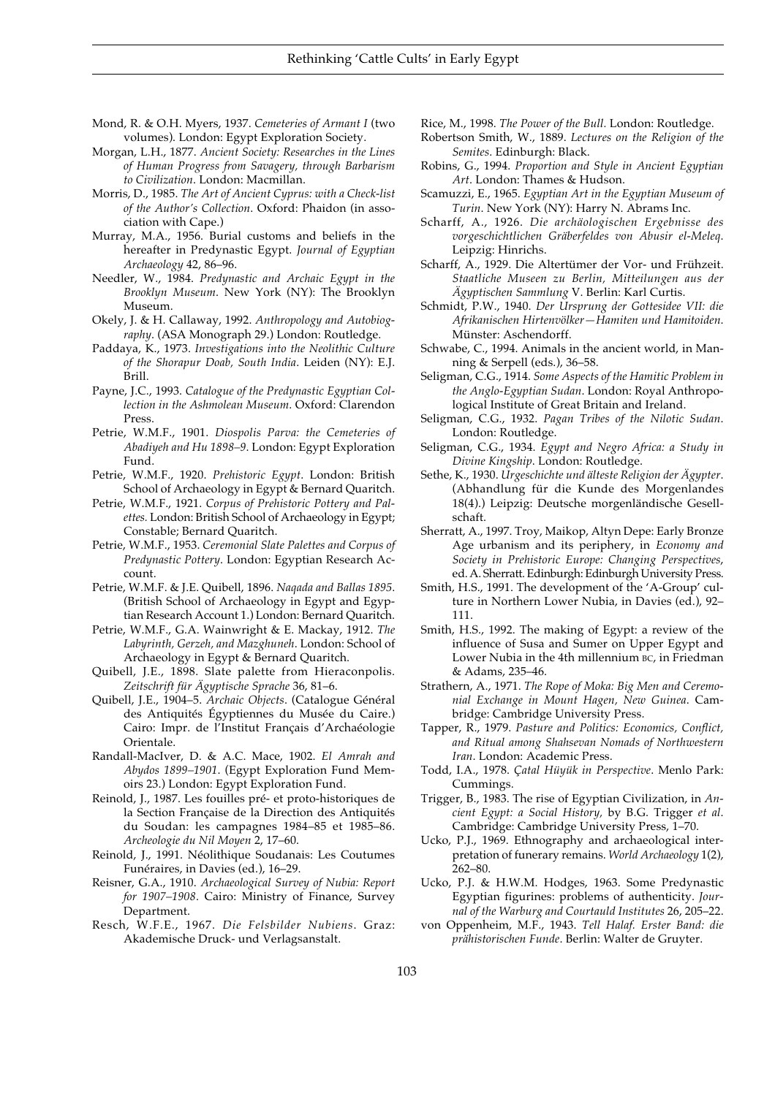- Mond, R. & O.H. Myers, 1937. *Cemeteries of Armant I* (two volumes). London: Egypt Exploration Society.
- Morgan, L.H., 1877. *Ancient Society: Researches in the Lines of Human Progress from Savagery, through Barbarism to Civilization*. London: Macmillan.
- Morris, D., 1985. *The Art of Ancient Cyprus: with a Check-list of the Author's Collection*. Oxford: Phaidon (in association with Cape.)
- Murray, M.A., 1956. Burial customs and beliefs in the hereafter in Predynastic Egypt. *Journal of Egyptian Archaeology* 42, 86–96.
- Needler, W., 1984. *Predynastic and Archaic Egypt in the Brooklyn Museum*. New York (NY): The Brooklyn Museum.
- Okely, J. & H. Callaway, 1992. *Anthropology and Autobiography*. (ASA Monograph 29.) London: Routledge.
- Paddaya, K., 1973. *Investigations into the Neolithic Culture of the Shorapur Doab, South India*. Leiden (NY): E.J. Brill.
- Payne, J.C., 1993. *Catalogue of the Predynastic Egyptian Collection in the Ashmolean Museum*. Oxford: Clarendon Press.
- Petrie, W.M.F., 1901. *Diospolis Parva: the Cemeteries of Abadiyeh and Hu 1898–9*. London: Egypt Exploration Fund.
- Petrie, W.M.F., 1920. *Prehistoric Egypt*. London: British School of Archaeology in Egypt & Bernard Quaritch.
- Petrie, W.M.F., 1921. *Corpus of Prehistoric Pottery and Palettes.* London: British School of Archaeology in Egypt; Constable; Bernard Quaritch.
- Petrie, W.M.F., 1953. *Ceremonial Slate Palettes and Corpus of Predynastic Pottery*. London: Egyptian Research Account.
- Petrie, W.M.F. & J.E. Quibell, 1896. *Naqada and Ballas 1895*. (British School of Archaeology in Egypt and Egyptian Research Account 1.) London: Bernard Quaritch.
- Petrie, W.M.F., G.A. Wainwright & E. Mackay, 1912. *The Labyrinth, Gerzeh, and Mazghuneh*. London: School of Archaeology in Egypt & Bernard Quaritch.
- Quibell, J.E., 1898. Slate palette from Hieraconpolis. *Zeitschrift für Ägyptische Sprache* 36, 81–6.
- Quibell, J.E., 1904–5. *Archaic Objects*. (Catalogue Général des Antiquités Égyptiennes du Musée du Caire.) Cairo: Impr. de l'Institut Français d'Archaéologie Orientale.
- Randall-MacIver, D. & A.C. Mace, 1902. *El Amrah and Abydos 1899–1901*. (Egypt Exploration Fund Memoirs 23.) London: Egypt Exploration Fund.
- Reinold, J., 1987. Les fouilles pré- et proto-historiques de la Section Française de la Direction des Antiquités du Soudan: les campagnes 1984–85 et 1985–86. *Archeologie du Nil Moyen* 2, 17–60.
- Reinold, J., 1991. Néolithique Soudanais: Les Coutumes Funéraires, in Davies (ed.), 16–29.
- Reisner, G.A., 1910. *Archaeological Survey of Nubia: Report for 1907–1908*. Cairo: Ministry of Finance, Survey Department.
- Resch, W.F.E., 1967. *Die Felsbilder Nubiens*. Graz: Akademische Druck- und Verlagsanstalt.

Rice, M., 1998. *The Power of the Bull.* London: Routledge.

- Robertson Smith, W., 1889. *Lectures on the Religion of the Semites*. Edinburgh: Black.
- Robins, G., 1994. *Proportion and Style in Ancient Egyptian Art*. London: Thames & Hudson.
- Scamuzzi, E., 1965. *Egyptian Art in the Egyptian Museum of Turin*. New York (NY): Harry N. Abrams Inc.
- Scharff, A., 1926. *Die archäologischen Ergebnisse des vorgeschichtlichen Gräberfeldes von Abusir el-Meleq*. Leipzig: Hinrichs.
- Scharff, A., 1929. Die Altertümer der Vor- und Frühzeit. *Staatliche Museen zu Berlin, Mitteilungen aus der Ägyptischen Sammlung* V. Berlin: Karl Curtis.
- Schmidt, P.W., 1940. *Der Ursprung der Gottesidee VII: die Afrikanischen Hirtenvölker—Hamiten und Hamitoiden*. Münster: Aschendorff.
- Schwabe, C., 1994. Animals in the ancient world, in Manning & Serpell (eds.), 36–58.
- Seligman, C.G., 1914. *Some Aspects of the Hamitic Problem in the Anglo-Egyptian Sudan*. London: Royal Anthropological Institute of Great Britain and Ireland.
- Seligman, C.G., 1932. *Pagan Tribes of the Nilotic Sudan*. London: Routledge.
- Seligman, C.G., 1934. *Egypt and Negro Africa: a Study in Divine Kingship*. London: Routledge.
- Sethe, K., 1930. *Urgeschichte und älteste Religion der Ägypter*. (Abhandlung für die Kunde des Morgenlandes 18(4).) Leipzig: Deutsche morgenländische Gesellschaft.
- Sherratt, A., 1997. Troy, Maikop, Altyn Depe: Early Bronze Age urbanism and its periphery, in *Economy and Society in Prehistoric Europe: Changing Perspectives*, ed. A. Sherratt. Edinburgh: Edinburgh University Press.
- Smith, H.S., 1991. The development of the 'A-Group' culture in Northern Lower Nubia, in Davies (ed.), 92– 111.
- Smith, H.S., 1992. The making of Egypt: a review of the influence of Susa and Sumer on Upper Egypt and Lower Nubia in the 4th millennium BC, in Friedman & Adams, 235–46.
- Strathern, A., 1971. *The Rope of Moka: Big Men and Ceremonial Exchange in Mount Hagen, New Guinea*. Cambridge: Cambridge University Press.
- Tapper, R., 1979. *Pasture and Politics: Economics, Conflict, and Ritual among Shahsevan Nomads of Northwestern Iran*. London: Academic Press.
- Todd, I.A., 1978. *Çatal Hüyük in Perspective*. Menlo Park: Cummings.
- Trigger, B., 1983. The rise of Egyptian Civilization, in *Ancient Egypt: a Social History,* by B.G. Trigger *et al*. Cambridge: Cambridge University Press, 1–70.
- Ucko, P.J., 1969. Ethnography and archaeological interpretation of funerary remains. *World Archaeology* 1(2), 262–80.
- Ucko, P.J. & H.W.M. Hodges, 1963. Some Predynastic Egyptian figurines: problems of authenticity. *Journal of the Warburg and Courtauld Institutes* 26, 205–22.
- von Oppenheim, M.F., 1943. *Tell Halaf. Erster Band: die prähistorischen Funde*. Berlin: Walter de Gruyter.